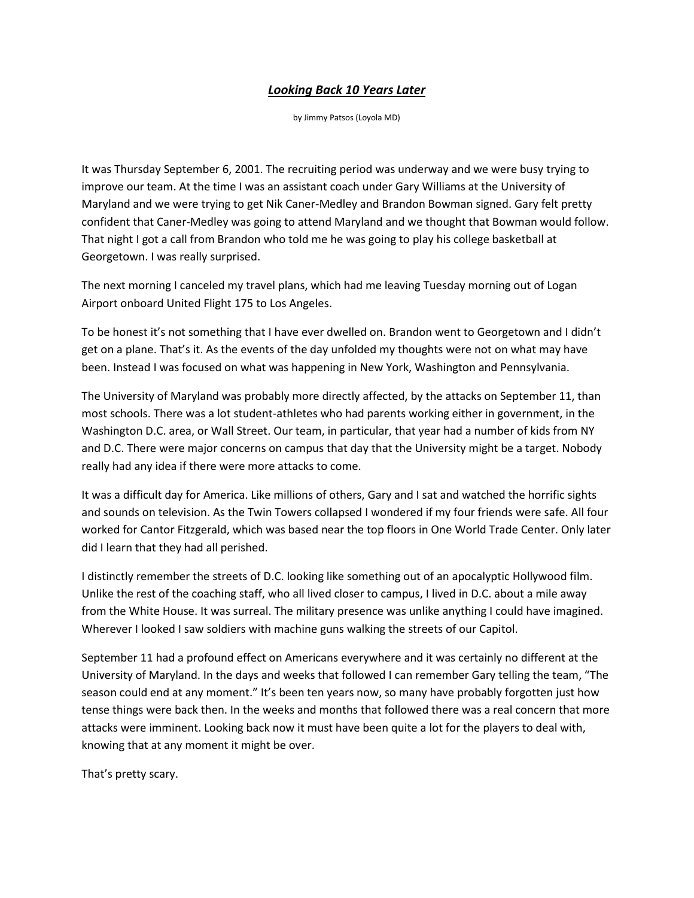## *Looking Back 10 Years Later*

by Jimmy Patsos (Loyola MD)

It was Thursday September 6, 2001. The recruiting period was underway and we were busy trying to improve our team. At the time I was an assistant coach under Gary Williams at the University of Maryland and we were trying to get Nik Caner-Medley and Brandon Bowman signed. Gary felt pretty confident that Caner-Medley was going to attend Maryland and we thought that Bowman would follow. That night I got a call from Brandon who told me he was going to play his college basketball at Georgetown. I was really surprised.

The next morning I canceled my travel plans, which had me leaving Tuesday morning out of Logan Airport onboard United Flight 175 to Los Angeles.

To be honest it's not something that I have ever dwelled on. Brandon went to Georgetown and I didn't get on a plane. That's it. As the events of the day unfolded my thoughts were not on what may have been. Instead I was focused on what was happening in New York, Washington and Pennsylvania.

The University of Maryland was probably more directly affected, by the attacks on September 11, than most schools. There was a lot student-athletes who had parents working either in government, in the Washington D.C. area, or Wall Street. Our team, in particular, that year had a number of kids from NY and D.C. There were major concerns on campus that day that the University might be a target. Nobody really had any idea if there were more attacks to come.

It was a difficult day for America. Like millions of others, Gary and I sat and watched the horrific sights and sounds on television. As the Twin Towers collapsed I wondered if my four friends were safe. All four worked for Cantor Fitzgerald, which was based near the top floors in One World Trade Center. Only later did I learn that they had all perished.

I distinctly remember the streets of D.C. looking like something out of an apocalyptic Hollywood film. Unlike the rest of the coaching staff, who all lived closer to campus, I lived in D.C. about a mile away from the White House. It was surreal. The military presence was unlike anything I could have imagined. Wherever I looked I saw soldiers with machine guns walking the streets of our Capitol.

September 11 had a profound effect on Americans everywhere and it was certainly no different at the University of Maryland. In the days and weeks that followed I can remember Gary telling the team, "The season could end at any moment." It's been ten years now, so many have probably forgotten just how tense things were back then. In the weeks and months that followed there was a real concern that more attacks were imminent. Looking back now it must have been quite a lot for the players to deal with, knowing that at any moment it might be over.

That's pretty scary.